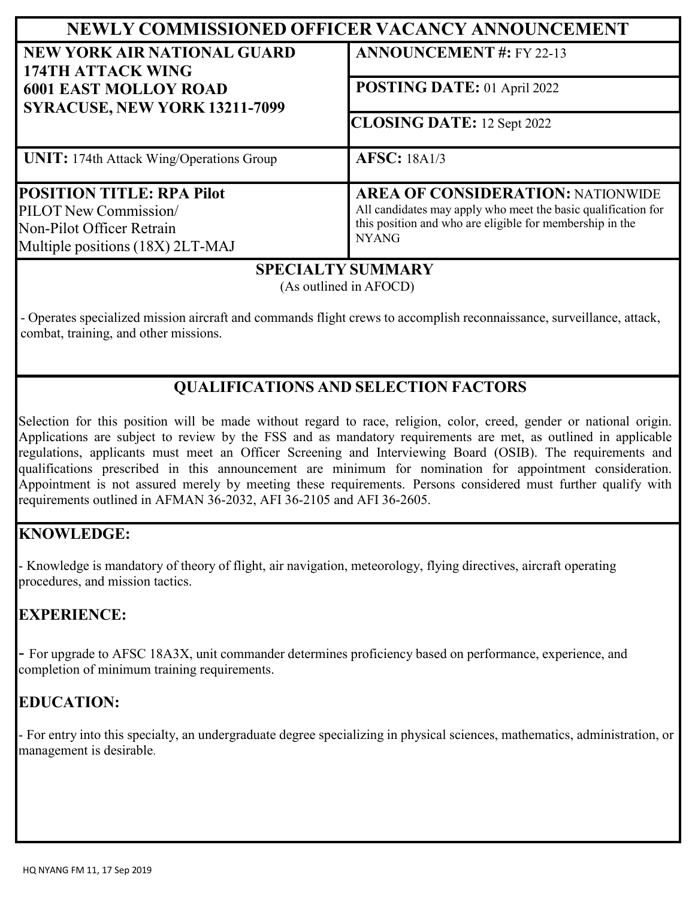| NEWLY COMMISSIONED OFFICER VACANCY ANNOUNCEMENT                                                                            |                                                                                                                                                                                       |
|----------------------------------------------------------------------------------------------------------------------------|---------------------------------------------------------------------------------------------------------------------------------------------------------------------------------------|
| <b>NEW YORK AIR NATIONAL GUARD</b><br>174TH ATTACK WING                                                                    | <b>ANNOUNCEMENT #: FY 22-13</b>                                                                                                                                                       |
| <b>6001 EAST MOLLOY ROAD</b><br>SYRACUSE, NEW YORK 13211-7099                                                              | POSTING DATE: 01 April 2022                                                                                                                                                           |
|                                                                                                                            | <b>CLOSING DATE: 12 Sept 2022</b>                                                                                                                                                     |
| <b>UNIT:</b> 174th Attack Wing/Operations Group                                                                            | <b>AFSC: 18A1/3</b>                                                                                                                                                                   |
| <b>POSITION TITLE: RPA Pilot</b><br>PILOT New Commission/<br>Non-Pilot Officer Retrain<br>Multiple positions (18X) 2LT-MAJ | <b>AREA OF CONSIDERATION: NATIONWIDE</b><br>All candidates may apply who meet the basic qualification for<br>this position and who are eligible for membership in the<br><b>NYANG</b> |

### **SPECIALTY SUMMARY**

(As outlined in AFOCD)

- Operates specialized mission aircraft and commands flight crews to accomplish reconnaissance, surveillance, attack, combat, training, and other missions.

# **QUALIFICATIONS AND SELECTION FACTORS**

Selection for this position will be made without regard to race, religion, color, creed, gender or national origin. Applications are subject to review by the FSS and as mandatory requirements are met, as outlined in applicable regulations, applicants must meet an Officer Screening and Interviewing Board (OSIB). The requirements and qualifications prescribed in this announcement are minimum for nomination for appointment consideration. Appointment is not assured merely by meeting these requirements. Persons considered must further qualify with requirements outlined in AFMAN 36-2032, AFI 36-2105 and AFI 36-2605.

### **KNOWLEDGE:**

- Knowledge is mandatory of theory of flight, air navigation, meteorology, flying directives, aircraft operating procedures, and mission tactics.

## **EXPERIENCE:**

- For upgrade to AFSC 18A3X, unit commander determines proficiency based on performance, experience, and completion of minimum training requirements.

## **EDUCATION:**

- For entry into this specialty, an undergraduate degree specializing in physical sciences, mathematics, administration, or management is desirable.